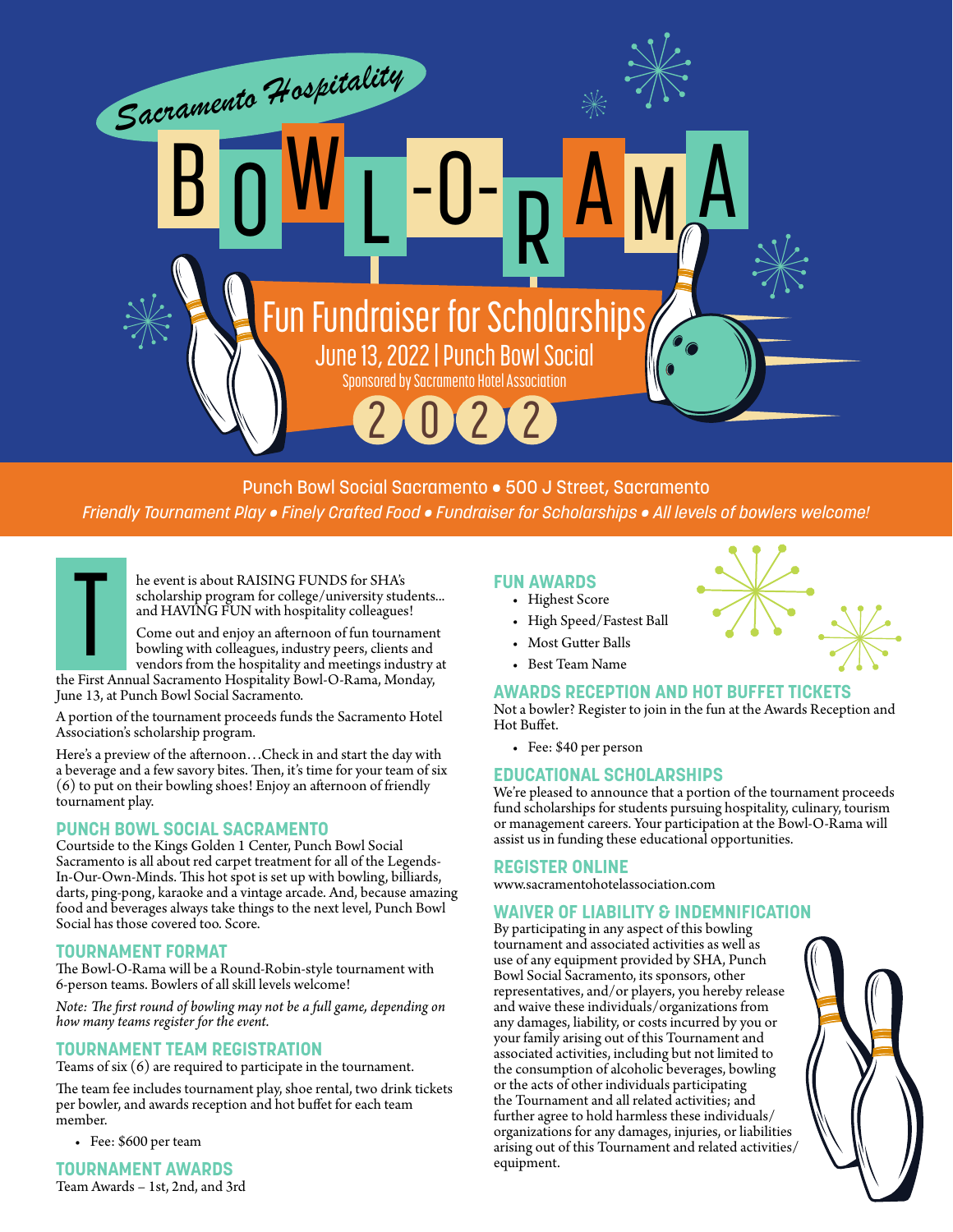

# Punch Bowl Social Sacramento • 500 J Street, Sacramento

*Friendly Tournament Play • Finely Crafted Food • Fundraiser for Scholarships • All levels of bowlers welcome!* 

he event is about RAISING FUNDS for SHA's scholarship program for college/university students... and HAVING FUN with hospitality colleagues!

Come out and enjoy an afternoon of fun tournament bowling with colleagues, industry peers, clients and vendors from the hospitality and meetings industry at

the First Annual Sacramento Hospitality Bowl-O-Rama, Monday, June 13, at Punch Bowl Social Sacramento. T

A portion of the tournament proceeds funds the Sacramento Hotel Association's scholarship program.

Here's a preview of the afternoon…Check in and start the day with a beverage and a few savory bites. Then, it's time for your team of six (6) to put on their bowling shoes! Enjoy an afternoon of friendly tournament play.

## **PUNCH BOWL SOCIAL SACRAMENTO**

Courtside to the Kings Golden 1 Center, Punch Bowl Social Sacramento is all about red carpet treatment for all of the Legends-In-Our-Own-Minds. This hot spot is set up with bowling, billiards, darts, ping-pong, karaoke and a vintage arcade. And, because amazing food and beverages always take things to the next level, Punch Bowl Social has those covered too. Score.

## **TOURNAMENT FORMAT**

The Bowl-O-Rama will be a Round-Robin-style tournament with 6-person teams. Bowlers of all skill levels welcome!

*Note: The first round of bowling may not be a full game, depending on how many teams register for the event.*

## **TOURNAMENT TEAM REGISTRATION**

Teams of six (6) are required to participate in the tournament.

The team fee includes tournament play, shoe rental, two drink tickets per bowler, and awards reception and hot buffet for each team member.

• Fee: \$600 per team

**TOURNAMENT AWARDS** Team Awards – 1st, 2nd, and 3rd

## **FUN AWARDS**

- Highest Score
- High Speed/Fastest Ball
- Most Gutter Balls
- Best Team Name

# **AWARDS RECEPTION AND HOT BUFFET TICKETS**

Not a bowler? Register to join in the fun at the Awards Reception and Hot Buffet.

• Fee: \$40 per person

# **EDUCATIONAL SCHOLARSHIPS**

We're pleased to announce that a portion of the tournament proceeds fund scholarships for students pursuing hospitality, culinary, tourism or management careers. Your participation at the Bowl-O-Rama will assist us in funding these educational opportunities.

## **REGISTER ONLINE**

www.sacramentohotelassociation.com

## **WAIVER OF LIABILITY & INDEMNIFICATION**

By participating in any aspect of this bowling tournament and associated activities as well as use of any equipment provided by SHA, Punch Bowl Social Sacramento, its sponsors, other representatives, and/or players, you hereby release and waive these individuals/organizations from any damages, liability, or costs incurred by you or your family arising out of this Tournament and associated activities, including but not limited to the consumption of alcoholic beverages, bowling or the acts of other individuals participating the Tournament and all related activities; and further agree to hold harmless these individuals/ organizations for any damages, injuries, or liabilities arising out of this Tournament and related activities/ equipment.



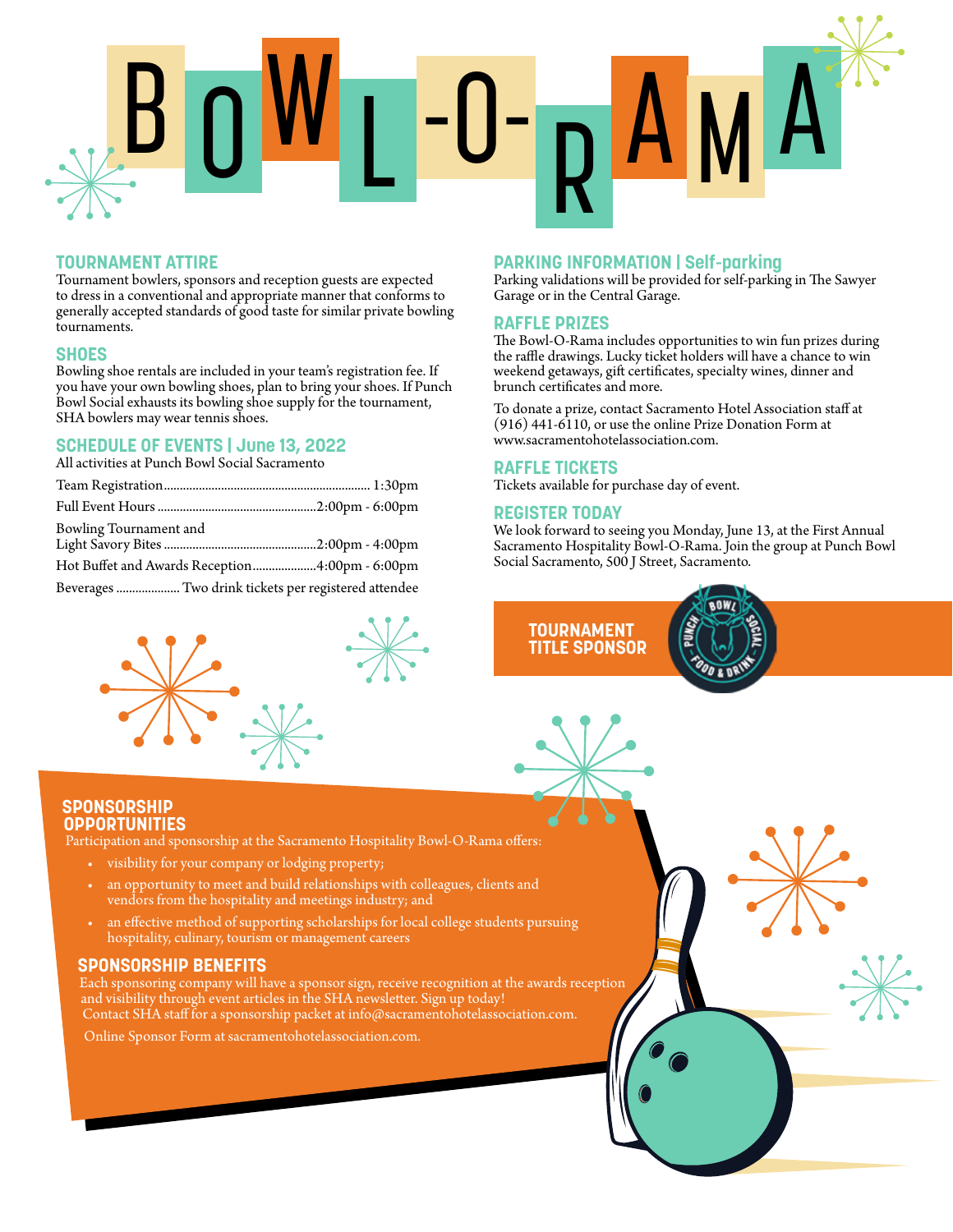

# **TOURNAMENT ATTIRE**

Tournament bowlers, sponsors and reception guests are expected to dress in a conventional and appropriate manner that conforms to generally accepted standards of good taste for similar private bowling tournaments.

#### **SHOES**

Bowling shoe rentals are included in your team's registration fee. If you have your own bowling shoes, plan to bring your shoes. If Punch Bowl Social exhausts its bowling shoe supply for the tournament, SHA bowlers may wear tennis shoes.

# **SCHEDULE OF EVENTS | June 13, 2022**

All activities at Punch Bowl Social Sacramento

| Bowling Tournament and                               |  |
|------------------------------------------------------|--|
| Hot Buffet and Awards Reception4:00pm - 6:00pm       |  |
| Beverages  Two drink tickets per registered attendee |  |



# **PARKING INFORMATION | Self-parking**

Parking validations will be provided for self-parking in The Sawyer Garage or in the Central Garage.

#### **RAFFLE PRIZES**

The Bowl-O-Rama includes opportunities to win fun prizes during the raffle drawings. Lucky ticket holders will have a chance to win weekend getaways, gift certificates, specialty wines, dinner and brunch certificates and more.

To donate a prize, contact Sacramento Hotel Association staff at (916) 441-6110, or use the online Prize Donation Form at www.sacramentohotelassociation.com.

#### **RAFFLE TICKETS**

Tickets available for purchase day of event.

#### **REGISTER TODAY**

**TOURNAMENT TITLE SPONSOR**

We look forward to seeing you Monday, June 13, at the First Annual Sacramento Hospitality Bowl-O-Rama. Join the group at Punch Bowl Social Sacramento, 500 J Street, Sacramento.



Participation and sponsorship at the Sacramento Hospitality Bowl-O-Rama offers:

- visibility for your company or lodging property;
- an opportunity to meet and build relationships with colleagues, clients and vendors from the hospitality and meetings industry; and
- an effective method of supporting scholarships for local college students pursuing hospitality, culinary, tourism or management careers

## **SPONSORSHIP BENEFITS**

Each sponsoring company will have a sponsor sign, receive recognition at the awards reception and visibility through event articles in the SHA newsletter. Sign up today! Contact SHA staff for a sponsorship packet at info@sacramentohotelassociation.com.

Online Sponsor Form at sacramentohotelassociation.com.